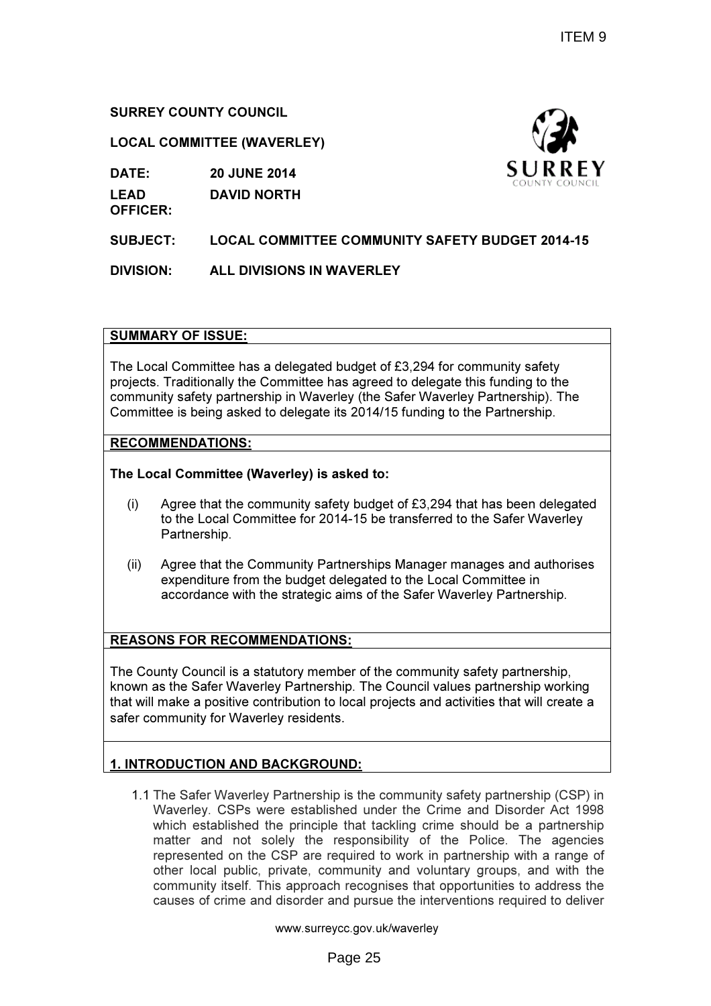# SURREY COUNTY COUNCIL

### LOCAL COMMITTEE (WAVERLEY)

DATE: 20 JUNE 2014

LEAD DAVID NORTH

OFFICER:

SUBJECT: LOCAL COMMITTEE COMMUNITY SAFETY BUDGET 2014-15

DIVISION: ALL DIVISIONS IN WAVERLEY

## SUMMARY OF ISSUE:

The Local Committee has a delegated budget of £3,294 for community safety projects. Traditionally the Committee has agreed to delegate this funding to the community safety partnership in Waverley (the Safer Waverley Partnership). The Committee is being asked to delegate its 2014/15 funding to the Partnership.

## RECOMMENDATIONS:

The Local Committee (Waverley) is asked to:

- (i) Agree that the community safety budget of  $£3,294$  that has been delegated to the Local Committee for 2014-15 be transferred to the Safer Waverley Partnership.
- (ii) Agree that the Community Partnerships Manager manages and authorises expenditure from the budget delegated to the Local Committee in accordance with the strategic aims of the Safer Waverley Partnership.

# REASONS FOR RECOMMENDATIONS:

The County Council is a statutory member of the community safety partnership, known as the Safer Waverley Partnership. The Council values partnership working that will make a positive contribution to local projects and activities that will create a safer community for Waverley residents.

# 1. INTRODUCTION AND BACKGROUND:

1.1 The Safer Waverley Partnership is the community safety partnership (CSP) in Waverley. CSPs were established under the Crime and Disorder Act 1998 which established the principle that tackling crime should be a partnership matter and not solely the responsibility of the Police. The agencies represented on the CSP are required to work in partnership with a range of other local public, private, community and voluntary groups, and with the community itself. This approach recognises that opportunities to address the causes of crime and disorder and pursue the interventions required to deliver

www.surreycc.gov.uk/waverley

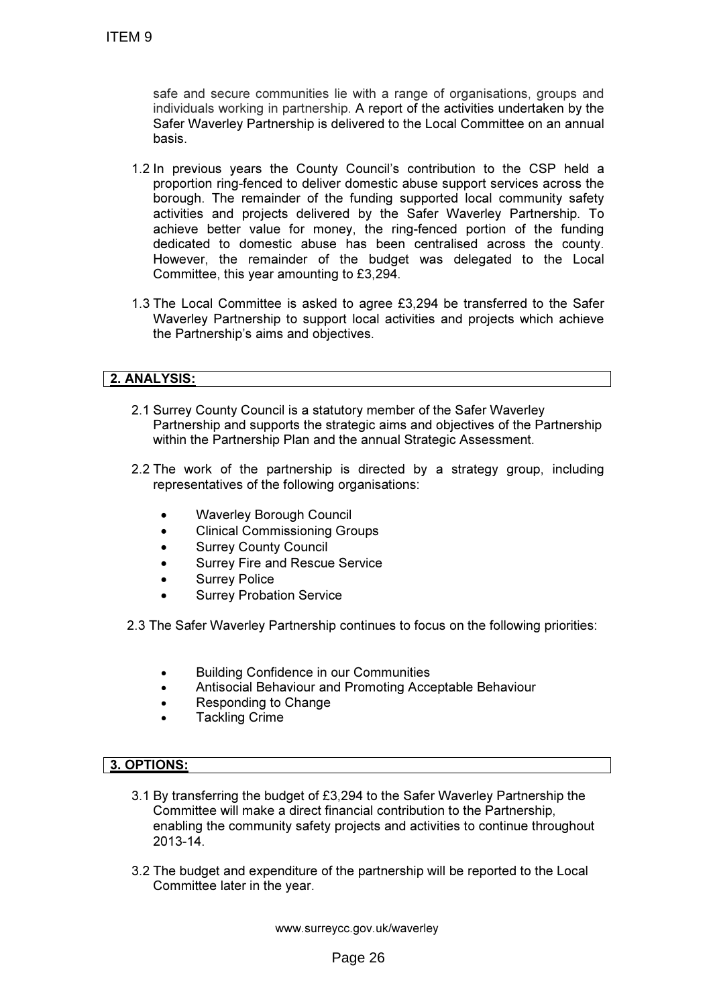safe and secure communities lie with a range of organisations, groups and individuals working in partnership. A report of the activities undertaken by the Safer Waverley Partnership is delivered to the Local Committee on an annual basis.

- 1.2 In previous years the County Council's contribution to the CSP held a proportion ring-fenced to deliver domestic abuse support services across the borough. The remainder of the funding supported local community safety activities and projects delivered by the Safer Waverley Partnership. To achieve better value for money, the ring-fenced portion of the funding dedicated to domestic abuse has been centralised across the county. However, the remainder of the budget was delegated to the Local Committee, this year amounting to £3,294.
- 1.3 The Local Committee is asked to agree £3,294 be transferred to the Safer Waverley Partnership to support local activities and projects which achieve the Partnership's aims and objectives.

# 2. ANALYSIS:

- 2.1 Surrey County Council is a statutory member of the Safer Waverley Partnership and supports the strategic aims and objectives of the Partnership within the Partnership Plan and the annual Strategic Assessment.
- 2.2 The work of the partnership is directed by a strategy group, including representatives of the following organisations:
	- Waverley Borough Council
	- Clinical Commissioning Groups
	- Surrey County Council
	- Surrey Fire and Rescue Service
	- Surrey Police
	- Surrey Probation Service

2.3 The Safer Waverley Partnership continues to focus on the following priorities:

- Building Confidence in our Communities
- Antisocial Behaviour and Promoting Acceptable Behaviour
- Responding to Change
- **Tackling Crime**

#### 3. OPTIONS:

- 3.1 By transferring the budget of £3,294 to the Safer Waverley Partnership the Committee will make a direct financial contribution to the Partnership, enabling the community safety projects and activities to continue throughout 2013-14.
- 3.2 The budget and expenditure of the partnership will be reported to the Local Committee later in the year.

www.surreycc.gov.uk/waverley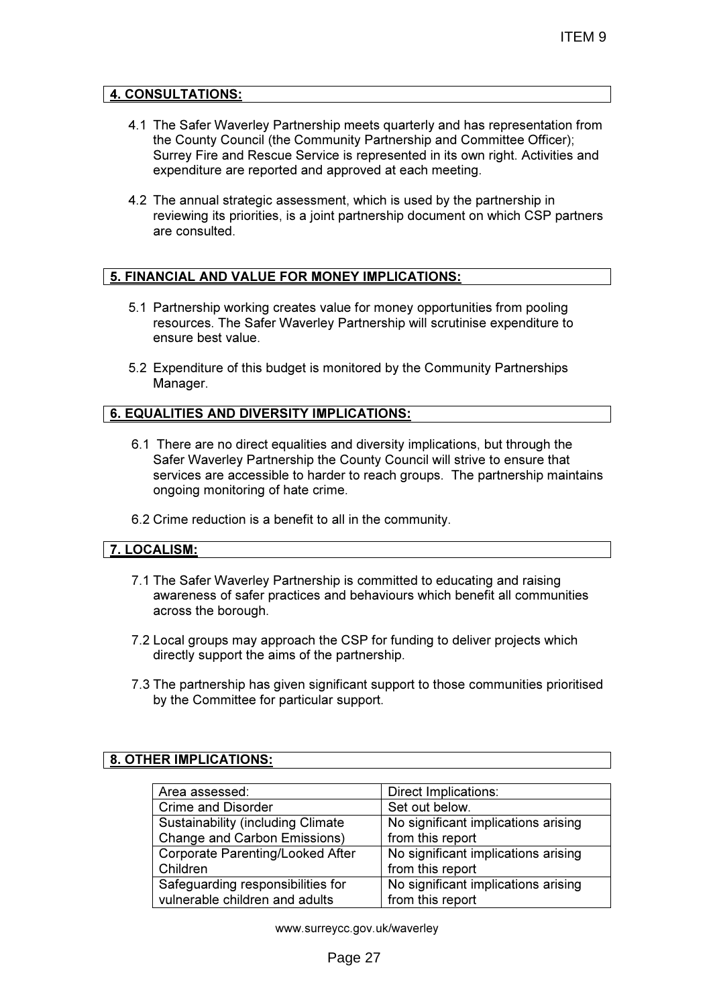#### 4. CONSULTATIONS:

- 4.1 The Safer Waverley Partnership meets quarterly and has representation from the County Council (the Community Partnership and Committee Officer); Surrey Fire and Rescue Service is represented in its own right. Activities and expenditure are reported and approved at each meeting.
- 4.2 The annual strategic assessment, which is used by the partnership in reviewing its priorities, is a joint partnership document on which CSP partners are consulted.

## 5. FINANCIAL AND VALUE FOR MONEY IMPLICATIONS:

- 5.1 Partnership working creates value for money opportunities from pooling resources. The Safer Waverley Partnership will scrutinise expenditure to ensure best value.
- 5.2 Expenditure of this budget is monitored by the Community Partnerships Manager.

#### 6. EQUALITIES AND DIVERSITY IMPLICATIONS:

- 6.1 There are no direct equalities and diversity implications, but through the Safer Waverley Partnership the County Council will strive to ensure that services are accessible to harder to reach groups. The partnership maintains ongoing monitoring of hate crime.
- 6.2 Crime reduction is a benefit to all in the community.

#### 7. LOCALISM:

- 7.1 The Safer Waverley Partnership is committed to educating and raising awareness of safer practices and behaviours which benefit all communities across the borough.
- 7.2 Local groups may approach the CSP for funding to deliver projects which directly support the aims of the partnership.
- 7.3 The partnership has given significant support to those communities prioritised by the Committee for particular support.

#### 8. OTHER IMPLICATIONS:

| Area assessed:                            | Direct Implications:                |
|-------------------------------------------|-------------------------------------|
| <b>Crime and Disorder</b>                 | Set out below.                      |
| <b>Sustainability (including Climate)</b> | No significant implications arising |
| <b>Change and Carbon Emissions)</b>       | from this report                    |
| Corporate Parenting/Looked After          | No significant implications arising |
| Children                                  | from this report                    |
| Safeguarding responsibilities for         | No significant implications arising |
| vulnerable children and adults            | from this report                    |